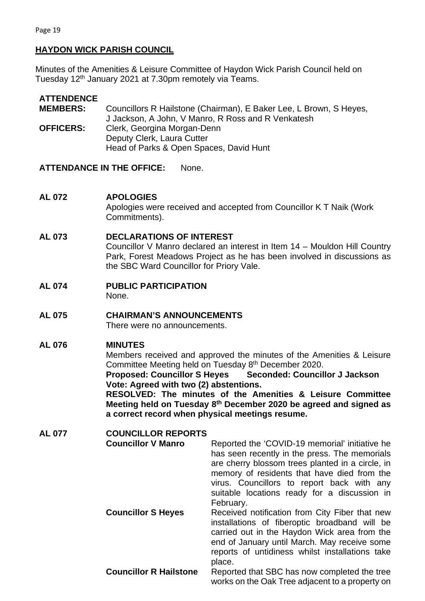## **HAYDON WICK PARISH COUNCIL**

Minutes of the Amenities & Leisure Committee of Haydon Wick Parish Council held on Tuesday 12<sup>th</sup> January 2021 at 7.30pm remotely via Teams.

# **ATTENDENCE**

| <b>MEMBERS:</b>  | Councillors R Hailstone (Chairman), E Baker Lee, L Brown, S Heyes, |
|------------------|--------------------------------------------------------------------|
|                  | J Jackson, A John, V Manro, R Ross and R Venkatesh                 |
| <b>OFFICERS:</b> | Clerk, Georgina Morgan-Denn                                        |
|                  | Deputy Clerk, Laura Cutter                                         |
|                  | Head of Parks & Open Spaces, David Hunt                            |

**ATTENDANCE IN THE OFFICE:** None.

## **AL 072 APOLOGIES**

Apologies were received and accepted from Councillor K T Naik (Work Commitments).

### **AL 073 DECLARATIONS OF INTEREST**

Councillor V Manro declared an interest in Item 14 – Mouldon Hill Country Park, Forest Meadows Project as he has been involved in discussions as the SBC Ward Councillor for Priory Vale.

**AL 074 PUBLIC PARTICIPATION**

None.

**AL 075 CHAIRMAN'S ANNOUNCEMENTS** There were no announcements.

## **AL 076 MINUTES**

Members received and approved the minutes of the Amenities & Leisure Committee Meeting held on Tuesday 8<sup>th</sup> December 2020.

**Proposed: Councillor S Heyes Seconded: Councillor J Jackson Vote: Agreed with two (2) abstentions.** 

**RESOLVED: The minutes of the Amenities & Leisure Committee Meeting held on Tuesday 8th December 2020 be agreed and signed as a correct record when physical meetings resume.** 

| <b>AL 077</b> | <b>COUNCILLOR REPORTS</b>     |                                                                                                                                                                                                                                                                                                               |
|---------------|-------------------------------|---------------------------------------------------------------------------------------------------------------------------------------------------------------------------------------------------------------------------------------------------------------------------------------------------------------|
|               | <b>Councillor V Manro</b>     | Reported the 'COVID-19 memorial' initiative he<br>has seen recently in the press. The memorials<br>are cherry blossom trees planted in a circle, in<br>memory of residents that have died from the<br>virus. Councillors to report back with any<br>suitable locations ready for a discussion in<br>February. |
|               | <b>Councillor S Heyes</b>     | Received notification from City Fiber that new<br>installations of fiberoptic broadband will be<br>carried out in the Haydon Wick area from the<br>end of January until March. May receive some<br>reports of untidiness whilst installations take<br>place.                                                  |
|               | <b>Councillor R Hailstone</b> | Reported that SBC has now completed the tree<br>works on the Oak Tree adjacent to a property on                                                                                                                                                                                                               |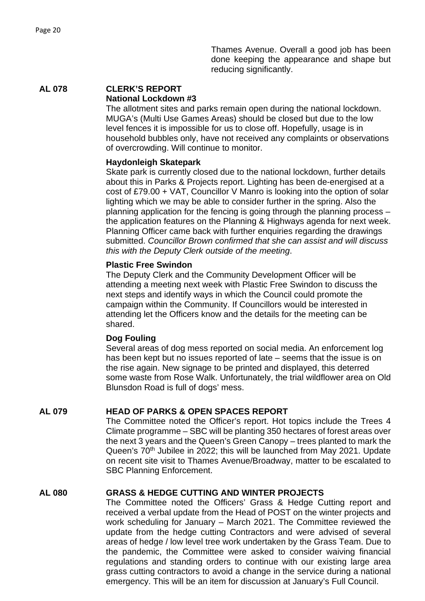Thames Avenue. Overall a good job has been done keeping the appearance and shape but reducing significantly.

#### **AL 078 CLERK'S REPORT National Lockdown #3**

The allotment sites and parks remain open during the national lockdown. MUGA's (Multi Use Games Areas) should be closed but due to the low level fences it is impossible for us to close off. Hopefully, usage is in household bubbles only, have not received any complaints or observations of overcrowding. Will continue to monitor.

### **Haydonleigh Skatepark**

Skate park is currently closed due to the national lockdown, further details about this in Parks & Projects report. Lighting has been de-energised at a cost of £79.00 + VAT, Councillor V Manro is looking into the option of solar lighting which we may be able to consider further in the spring. Also the planning application for the fencing is going through the planning process – the application features on the Planning & Highways agenda for next week. Planning Officer came back with further enquiries regarding the drawings submitted. *Councillor Brown confirmed that she can assist and will discuss this with the Deputy Clerk outside of the meeting*.

### **Plastic Free Swindon**

The Deputy Clerk and the Community Development Officer will be attending a meeting next week with Plastic Free Swindon to discuss the next steps and identify ways in which the Council could promote the campaign within the Community. If Councillors would be interested in attending let the Officers know and the details for the meeting can be shared.

### **Dog Fouling**

Several areas of dog mess reported on social media. An enforcement log has been kept but no issues reported of late – seems that the issue is on the rise again. New signage to be printed and displayed, this deterred some waste from Rose Walk. Unfortunately, the trial wildflower area on Old Blunsdon Road is full of dogs' mess.

## **AL 079 HEAD OF PARKS & OPEN SPACES REPORT**

The Committee noted the Officer's report. Hot topics include the Trees 4 Climate programme – SBC will be planting 350 hectares of forest areas over the next 3 years and the Queen's Green Canopy – trees planted to mark the Queen's 70<sup>th</sup> Jubilee in 2022; this will be launched from May 2021. Update on recent site visit to Thames Avenue/Broadway, matter to be escalated to SBC Planning Enforcement.

## **AL 080 GRASS & HEDGE CUTTING AND WINTER PROJECTS**

The Committee noted the Officers' Grass & Hedge Cutting report and received a verbal update from the Head of POST on the winter projects and work scheduling for January – March 2021. The Committee reviewed the update from the hedge cutting Contractors and were advised of several areas of hedge / low level tree work undertaken by the Grass Team. Due to the pandemic, the Committee were asked to consider waiving financial regulations and standing orders to continue with our existing large area grass cutting contractors to avoid a change in the service during a national emergency. This will be an item for discussion at January's Full Council.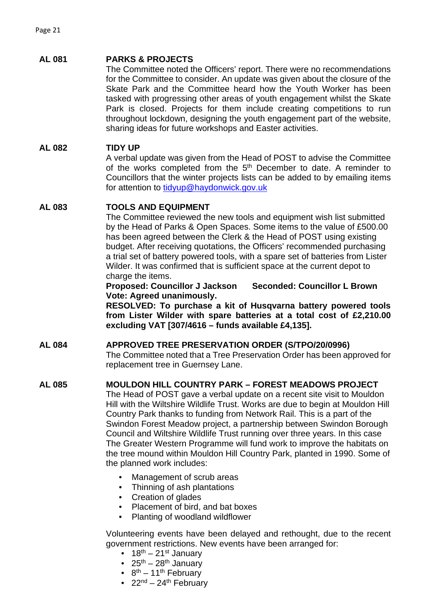### **AL 081 PARKS & PROJECTS**

The Committee noted the Officers' report. There were no recommendations for the Committee to consider. An update was given about the closure of the Skate Park and the Committee heard how the Youth Worker has been tasked with progressing other areas of youth engagement whilst the Skate Park is closed. Projects for them include creating competitions to run throughout lockdown, designing the youth engagement part of the website, sharing ideas for future workshops and Easter activities.

### **AL 082 TIDY UP**

A verbal update was given from the Head of POST to advise the Committee of the works completed from the  $5<sup>th</sup>$  December to date. A reminder to Councillors that the winter projects lists can be added to by emailing items for attention to [tidyup@haydonwick.gov.uk](mailto:tidyup@haydonwick.gov.uk)

### **AL 083 TOOLS AND EQUIPMENT**

The Committee reviewed the new tools and equipment wish list submitted by the Head of Parks & Open Spaces. Some items to the value of £500.00 has been agreed between the Clerk & the Head of POST using existing budget. After receiving quotations, the Officers' recommended purchasing a trial set of battery powered tools, with a spare set of batteries from Lister Wilder. It was confirmed that is sufficient space at the current depot to charge the items.

**Proposed: Councillor J Jackson Seconded: Councillor L Brown Vote: Agreed unanimously.**

**RESOLVED: To purchase a kit of Husqvarna battery powered tools from Lister Wilder with spare batteries at a total cost of £2,210.00 excluding VAT [307/4616 – funds available £4,135].**

#### **AL 084 APPROVED TREE PRESERVATION ORDER (S/TPO/20/0996)**

The Committee noted that a Tree Preservation Order has been approved for replacement tree in Guernsey Lane.

### **AL 085 MOULDON HILL COUNTRY PARK – FOREST MEADOWS PROJECT**

The Head of POST gave a verbal update on a recent site visit to Mouldon Hill with the Wiltshire Wildlife Trust. Works are due to begin at Mouldon Hill Country Park thanks to funding from Network Rail. This is a part of the Swindon Forest Meadow project, a partnership between Swindon Borough Council and Wiltshire Wildlife Trust running over three years. In this case The Greater Western Programme will fund work to improve the habitats on the tree mound within Mouldon Hill Country Park, planted in 1990. Some of the planned work includes:

- Management of scrub areas
- Thinning of ash plantations
- Creation of glades
- Placement of bird, and bat boxes
- Planting of woodland wildflower

Volunteering events have been delayed and rethought, due to the recent government restrictions. New events have been arranged for:

- $18^{th} 21^{st}$  January
- $25<sup>th</sup> 28<sup>th</sup>$  January
- $8^{th} 11^{th}$  February
- 
- $22<sup>nd</sup> 24<sup>th</sup>$  February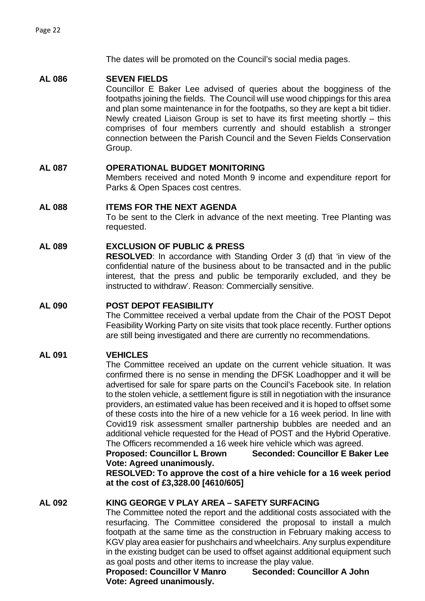The dates will be promoted on the Council's social media pages.

### **AL 086 SEVEN FIELDS**

Councillor E Baker Lee advised of queries about the bogginess of the footpaths joining the fields. The Council will use wood chippings for this area and plan some maintenance in for the footpaths, so they are kept a bit tidier. Newly created Liaison Group is set to have its first meeting shortly – this comprises of four members currently and should establish a stronger connection between the Parish Council and the Seven Fields Conservation Group.

### **AL 087 OPERATIONAL BUDGET MONITORING**

Members received and noted Month 9 income and expenditure report for Parks & Open Spaces cost centres.

### **AL 088 ITEMS FOR THE NEXT AGENDA**

To be sent to the Clerk in advance of the next meeting. Tree Planting was requested.

### **AL 089 EXCLUSION OF PUBLIC & PRESS**

**RESOLVED**: In accordance with Standing Order 3 (d) that 'in view of the confidential nature of the business about to be transacted and in the public interest, that the press and public be temporarily excluded, and they be instructed to withdraw'. Reason: Commercially sensitive.

#### **AL 090 POST DEPOT FEASIBILITY**

The Committee received a verbal update from the Chair of the POST Depot Feasibility Working Party on site visits that took place recently. Further options are still being investigated and there are currently no recommendations.

### **AL 091 VEHICLES**

The Committee received an update on the current vehicle situation. It was confirmed there is no sense in mending the DFSK Loadhopper and it will be advertised for sale for spare parts on the Council's Facebook site. In relation to the stolen vehicle, a settlement figure is still in negotiation with the insurance providers, an estimated value has been received and it is hoped to offset some of these costs into the hire of a new vehicle for a 16 week period. In line with Covid19 risk assessment smaller partnership bubbles are needed and an additional vehicle requested for the Head of POST and the Hybrid Operative. The Officers recommended a 16 week hire vehicle which was agreed.

**Proposed: Councillor L Brown Seconded: Councillor E Baker Lee Vote: Agreed unanimously.** 

**RESOLVED: To approve the cost of a hire vehicle for a 16 week period at the cost of £3,328.00 [4610/605]**

### **AL 092 KING GEORGE V PLAY AREA – SAFETY SURFACING**

The Committee noted the report and the additional costs associated with the resurfacing. The Committee considered the proposal to install a mulch footpath at the same time as the construction in February making access to KGV play area easier for pushchairs and wheelchairs. Any surplus expenditure in the existing budget can be used to offset against additional equipment such

as goal posts and other items to increase the play value.<br>Proposed: Councillor V Manro Seconded: Councillor A John **Proposed: Councillor V Manro Vote: Agreed unanimously.**